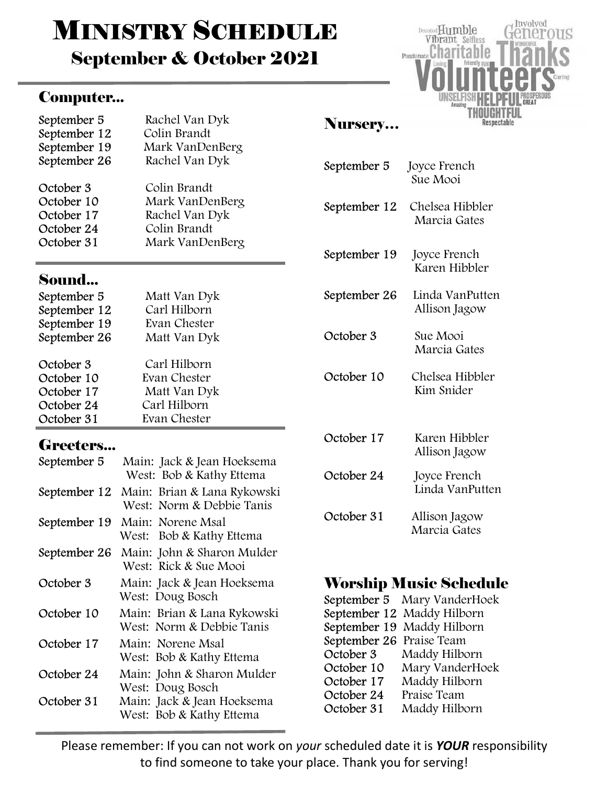# **MINISTRY SCHEDULE**

September & October 2021

#### Computer...

| September 5  | Rachel Van Dyk  |
|--------------|-----------------|
| September 12 | Colin Brandt    |
| September 19 | Mark VanDenBerg |
| September 26 | Rachel Van Dyk  |
| October 3    | Colin Brandt    |
| October 10   | Mark VanDenBerg |
| October 17   | Rachel Van Dyk  |
| October 24   | Colin Brandt    |
| October 31   | Mark VanDenBerg |

#### Sound...

| September 5  | Matt Van Dyk |
|--------------|--------------|
| September 12 | Carl Hilborn |
| September 19 | Evan Chester |
| September 26 | Matt Van Dyk |
|              |              |
| October 3    | Carl Hilborn |
| October 10   | Evan Chester |
| October 17   | Matt Van Dyk |
| October 24   | Carl Hilborn |
| October 31   | Evan Chester |

#### Greeters...

| September 5  | Main: Jack & Jean Hoeksema<br>West: Bob & Kathy Ettema   |
|--------------|----------------------------------------------------------|
| September 12 | Main: Brian & Lana Rykowski<br>West: Norm & Debbie Tanis |
| September 19 | Main: Norene Msal<br>Bob & Kathy Ettema<br>West:         |
| September 26 | Main: John & Sharon Mulder<br>West: Rick & Sue Mooi      |
| October 3    | Main: Jack & Jean Hoeksema<br>West: Doug Bosch           |
| October 10   | Main: Brian & Lana Rykowski<br>West: Norm & Debbie Tanis |
| October 17   | Main: Norene Msal<br>West: Bob & Kathy Ettema            |
| October 24   | Main: John & Sharon Mulder<br>West: Doug Bosch           |
| October 31   | Main: Jack & Jean Hoeksema<br>West: Bob & Kathy Ettema   |

#### Nursery…

| September 5  | Joyce French<br>Sue Mooi         |
|--------------|----------------------------------|
| September 12 | Chelsea Hibbler<br>Marcia Gates  |
| September 19 | Joyce French<br>Karen Hibbler    |
| September 26 | Linda VanPutten<br>Allison Jagow |
| October 3    | Sue Mooi<br>Marcia Gates         |
| October 10   | Chelsea Hibbler<br>Kim Snider    |
| October 17   | Karen Hibbler<br>Allison Jagow   |
| October 24   | Joyce French<br>Linda VanPutten  |
| October 31   | Allison Jagow<br>Marcia Gates    |

Involved

Respectable

US

Devoted Humble

Vibrant Selfless Passionate Charitable

### Worship Music Schedule

|                          | September 5 Mary VanderHoek |
|--------------------------|-----------------------------|
|                          | September 12 Maddy Hilborn  |
|                          | September 19 Maddy Hilborn  |
| September 26 Praise Team |                             |
| October 3                | Maddy Hilborn               |
| October 10               | Mary VanderHoek             |
| October 17               | Maddy Hilborn               |
| October 24               | Praise Team                 |
| October 31               | Maddy Hilborn               |

Please remember: If you can not work on your scheduled date it is YOUR responsibility to find someone to take your place. Thank you for serving!